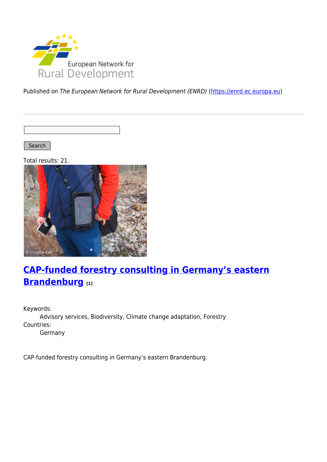

Published on The European Network for Rural Development (ENRD) [\(https://enrd.ec.europa.eu](https://enrd.ec.europa.eu))

Search |

Total results: 21.



# **[CAP-funded forestry consulting in Germany's eastern](https://enrd.ec.europa.eu/projects-practice/cap-funded-forestry-consulting-germanys-eastern-brandenburg_en) [Brandenburg](https://enrd.ec.europa.eu/projects-practice/cap-funded-forestry-consulting-germanys-eastern-brandenburg_en) [1]**

Keywords: Advisory services, Biodiversity, Climate change adaptation, Forestry Countries: Germany

CAP-funded forestry consulting in Germany's eastern Brandenburg.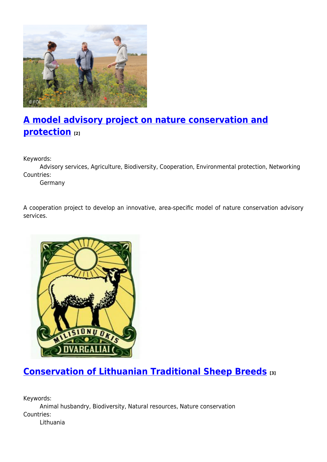

# **[A model advisory project on nature conservation and](https://enrd.ec.europa.eu/projects-practice/model-advisory-project-nature-conservation-and-protection_en) [protection](https://enrd.ec.europa.eu/projects-practice/model-advisory-project-nature-conservation-and-protection_en) [2]**

Keywords:

Advisory services, Agriculture, Biodiversity, Cooperation, Environmental protection, Networking Countries:

Germany

A cooperation project to develop an innovative, area-specific model of nature conservation advisory services.



## **[Conservation of Lithuanian Traditional Sheep Breeds](https://enrd.ec.europa.eu/projects-practice/conservation-lithuanian-traditional-sheep-breeds_en) [3]**

Keywords: Animal husbandry, Biodiversity, Natural resources, Nature conservation Countries: Lithuania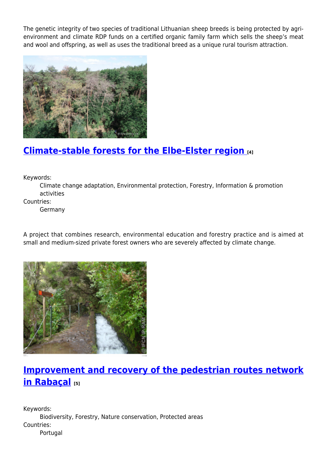The genetic integrity of two species of traditional Lithuanian sheep breeds is being protected by agrienvironment and climate RDP funds on a certified organic family farm which sells the sheep's meat and wool and offspring, as well as uses the traditional breed as a unique rural tourism attraction.



#### **[Climate-stable forests for the Elbe-Elster region](https://enrd.ec.europa.eu/projects-practice/climate-stable-forests-elbe-elster-region_en) [4]**

Keywords:

Climate change adaptation, Environmental protection, Forestry, Information & promotion activities

Countries:

Germany

A project that combines research, environmental education and forestry practice and is aimed at small and medium-sized private forest owners who are severely affected by climate change.



## **[Improvement and recovery of the pedestrian routes network](https://enrd.ec.europa.eu/projects-practice/improvement-and-recovery-pedestrian-routes-network-rabacal_en) [in Rabaçal](https://enrd.ec.europa.eu/projects-practice/improvement-and-recovery-pedestrian-routes-network-rabacal_en) [5]**

Keywords: Biodiversity, Forestry, Nature conservation, Protected areas Countries: Portugal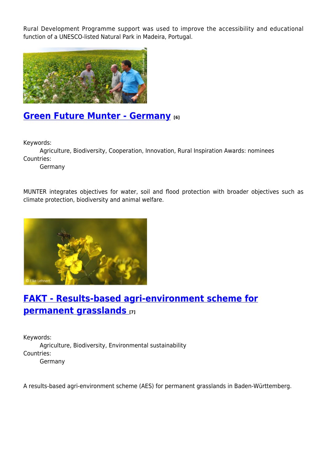Rural Development Programme support was used to improve the accessibility and educational function of a UNESCO-listed Natural Park in Madeira, Portugal.



#### **[Green Future Munter - Germany](https://enrd.ec.europa.eu/projects-practice/green-future-munter-germany_en) [6]**

Keywords:

Agriculture, Biodiversity, Cooperation, Innovation, Rural Inspiration Awards: nominees Countries:

Germany

MUNTER integrates objectives for water, soil and flood protection with broader objectives such as climate protection, biodiversity and animal welfare.



## **[FAKT - Results-based agri-environment scheme for](https://enrd.ec.europa.eu/projects-practice/fakt-results-based-agri-environment-scheme-permanent-grasslands_en) [permanent grasslands](https://enrd.ec.europa.eu/projects-practice/fakt-results-based-agri-environment-scheme-permanent-grasslands_en) [7]**

Keywords: Agriculture, Biodiversity, Environmental sustainability Countries: Germany

A results-based agri-environment scheme (AES) for permanent grasslands in Baden-Württemberg.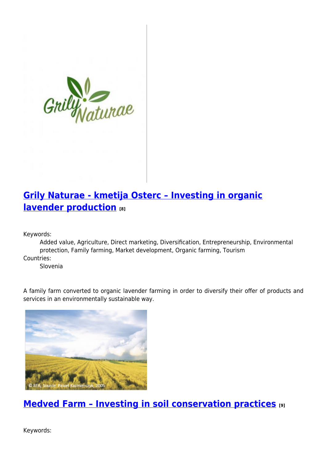

## **[Grily Naturae - kmetija Osterc – Investing in organic](https://enrd.ec.europa.eu/projects-practice/grily-naturae-kmetija-osterc-investing-organic-lavender-production_en) [lavender production](https://enrd.ec.europa.eu/projects-practice/grily-naturae-kmetija-osterc-investing-organic-lavender-production_en) [8]**

Keywords:

Added value, Agriculture, Direct marketing, Diversification, Entrepreneurship, Environmental protection, Family farming, Market development, Organic farming, Tourism

Countries:

Slovenia

A family farm converted to organic lavender farming in order to diversify their offer of products and services in an environmentally sustainable way.



**[Medved Farm – Investing in soil conservation practices](https://enrd.ec.europa.eu/projects-practice/medved-farm-investing-soil-conservation-practices_en) [9]**

Keywords: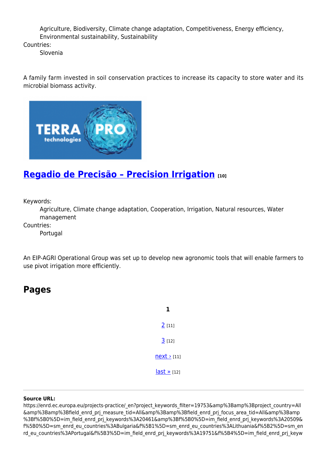Agriculture, Biodiversity, Climate change adaptation, Competitiveness, Energy efficiency, Environmental sustainability, Sustainability

Countries:

Slovenia

A family farm invested in soil conservation practices to increase its capacity to store water and its microbial biomass activity.



## **[Regadio de Precisão – Precision Irrigation](https://enrd.ec.europa.eu/projects-practice/regadio-de-precisao-precision-irrigation_en) [10]**

Keywords:

Agriculture, Climate change adaptation, Cooperation, Irrigation, Natural resources, Water management

Countries:

Portugal

An EIP-AGRI Operational Group was set up to develop new agronomic tools that will enable farmers to use pivot irrigation more efficiently.

#### **Pages**

| <u>2</u> [11]     |
|-------------------|
| 3[12]             |
| $next$ [11]       |
| $last \times 121$ |

#### **Source URL:**

https://enrd.ec.europa.eu/projects-practice/\_en?project\_keywords\_filter=19753&amp%3Bamp%3Bproject\_country=All &amp%3Bamp%3Bfield\_enrd\_prj\_measure\_tid=All&amp%3Bamp%3Bfield\_enrd\_prj\_focus\_area\_tid=All&amp%3Bamp %3Bf%5B0%5D=im\_field\_enrd\_prj\_keywords%3A20461&amp%3Bf%5B0%5D=im\_field\_enrd\_prj\_keywords%3A20509& f%5B0%5D=sm\_enrd\_eu\_countries%3ABulgaria&f%5B1%5D=sm\_enrd\_eu\_countries%3ALithuania&f%5B2%5D=sm\_en rd\_eu\_countries%3APortugal&f%5B3%5D=im\_field\_enrd\_prj\_keywords%3A19751&f%5B4%5D=im\_field\_enrd\_prj\_keyw